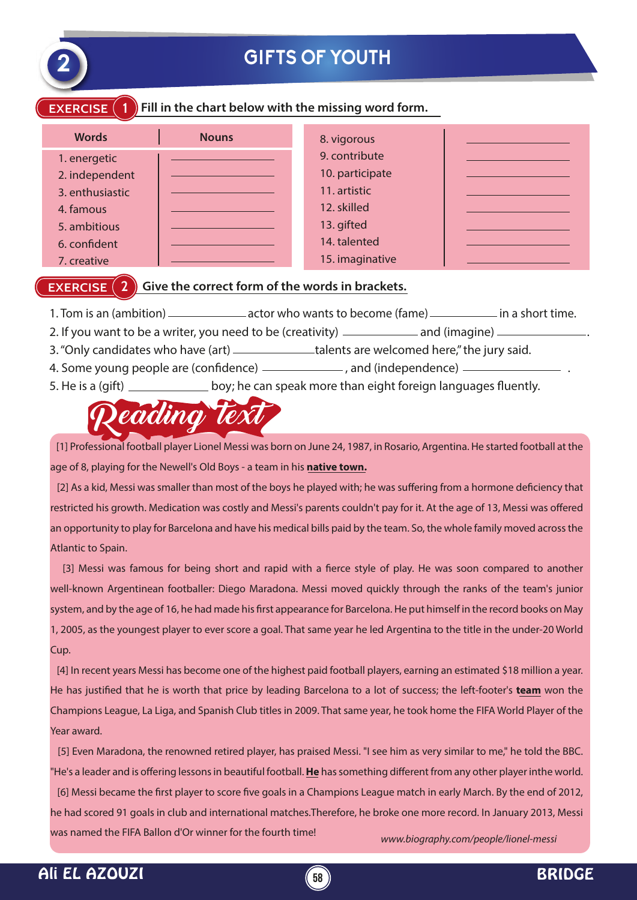

## **GIFTS OF YOUTH**

#### **EXERCISE** (1) Fill in the chart below with the missing word form.

| <b>Words</b>    | <b>Nouns</b> | 8. vigorous     |  |
|-----------------|--------------|-----------------|--|
| 1. energetic    |              | 9. contribute   |  |
| 2. independent  |              | 10. participate |  |
| 3. enthusiastic |              | 11. artistic    |  |
| 4. famous       |              | 12. skilled     |  |
| 5. ambitious    |              | 13. gifted      |  |
| 6. confident    |              | 14. talented    |  |
| 7. creative     |              | 15. imaginative |  |

### **EXERCISE** (2) Give the correct form of the words in brackets.

- 1. Tom is an (ambition) actor who wants to become (fame) in a short time.
- 2. If you want to be a writer, you need to be (creativity)  $\qquad \qquad$  and (imagine)  $\qquad$
- 3. "Only candidates who have (art) \_\_\_\_\_\_\_\_\_\_\_\_\_talents are welcomed here," the jury said.
- 4. Some young people are (confidence)  $\frac{1}{1}$ , and (independence)  $\frac{1}{1}$
- 5. He is a (gift) <u>second boy; he can speak more than eight foreign languages fluently.</u>

# eading te

 [1] Professional football player Lionel Messi was born on June 24, 1987, in Rosario, Argentina. He started football at the age of 8, playing for the Newell's Old Boys - a team in his **native town.**

[2] As a kid, Messi was smaller than most of the boys he played with; he was suffering from a hormone deficiency that restricted his growth. Medication was costly and Messi's parents couldn't pay for it. At the age of 13, Messi was offered an opportunity to play for Barcelona and have his medical bills paid by the team. So, the whole family moved across the Atlantic to Spain.

[3] Messi was famous for being short and rapid with a fierce style of play. He was soon compared to another well-known Argentinean footballer: Diego Maradona. Messi moved quickly through the ranks of the team's junior system, and by the age of 16, he had made his first appearance for Barcelona. He put himself in the record books on May 1, 2005, as the youngest player to ever score a goal. That same year he led Argentina to the title in the under-20 World Cup.

 [4] In recent years Messi has become one of the highest paid football players, earning an estimated \$18 million a year. He has justified that he is worth that price by leading Barcelona to a lot of success; the left-footer's **team** won the Champions League, La Liga, and Spanish Club titles in 2009. That same year, he took home the FIFA World Player of the Year award.

*www.biography.com/people/lionel-messi* [5] Even Maradona, the renowned retired player, has praised Messi. "I see him as very similar to me," he told the BBC. "He's a leader and is offering lessons in beautiful football. **He** has something different from any other player inthe world. [6] Messi became the first player to score five goals in a Champions League match in early March. By the end of 2012, he had scored 91 goals in club and international matches.Therefore, he broke one more record. In January 2013, Messi was named the FIFA Ballon d'Or winner for the fourth time!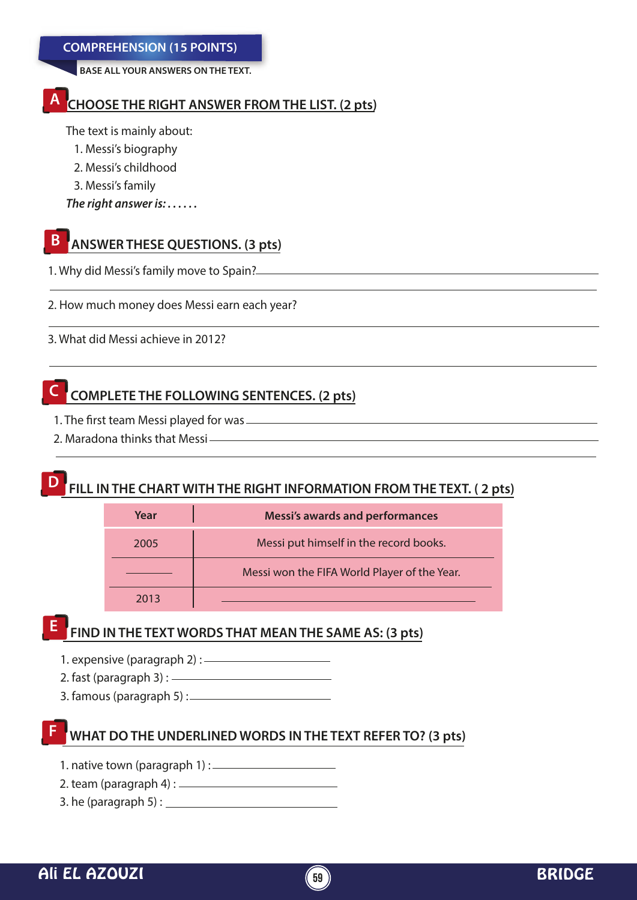**BASE ALL YOUR ANSWERS ON THE TEXT.**

#### **CHOOSE THE RIGHT ANSWER FROM THE LIST. (2 pts) A**

The text is mainly about:

- 1. Messi's biography
- 2. Messi's childhood
- 3. Messi's family

*The right answer is: . . . . . .* 

#### **ANSWER THESE QUESTIONS. (3 pts) B**

1. Why did Messi's family move to Spain?

2. How much money does Messi earn each year?

3. What did Messi achieve in 2012?

## **C COMPLETE THE FOLLOWING SENTENCES. (2 pts)**

- 1. The first team Messi played for was
- 2. Maradona thinks that Messi

#### **FILL IN THE CHART WITH THE RIGHT INFORMATION FROM THE TEXT. (2 pts) D**

| Year | <b>Messi's awards and performances</b>       |  |
|------|----------------------------------------------|--|
| 2005 | Messi put himself in the record books.       |  |
|      | Messi won the FIFA World Player of the Year. |  |
| 2013 |                                              |  |

## **FIND IN THE TEXT WORDS THAT MEAN THE SAME AS: (3 pts) E**

- 1. expensive (paragraph 2) :
- 2. fast (paragraph 3) :
- 3. famous (paragraph 5) :

## **WHAT DO THE UNDERLINED WORDS IN THE TEXT REFER TO? (3 pts)**

- 1. native town (paragraph 1) :
- 2. team (paragraph 4) :
- 3. he (paragraph 5) :